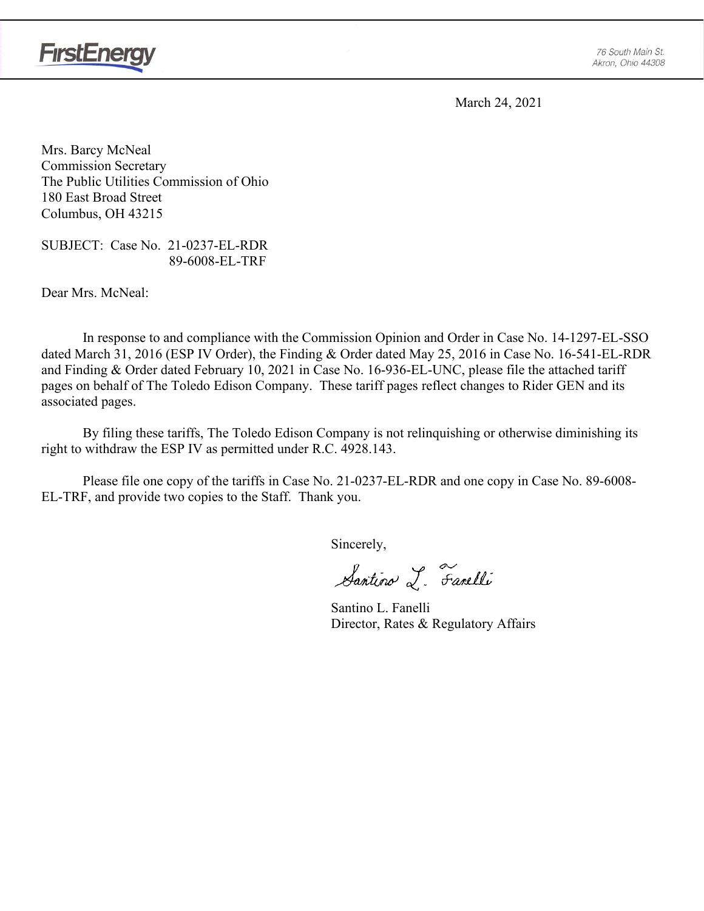

March 24, 2021

Mrs. Barcy McNeal Commission Secretary The Public Utilities Commission of Ohio 180 East Broad Street Columbus, OH 43215

SUBJECT: Case No. 21-0237-EL-RDR 89-6008-EL-TRF

Dear Mrs. McNeal:

In response to and compliance with the Commission Opinion and Order in Case No. 14-1297-EL-SSO dated March 31, 2016 (ESP IV Order), the Finding & Order dated May 25, 2016 in Case No. 16-541-EL-RDR and Finding & Order dated February 10, 2021 in Case No. 16-936-EL-UNC, please file the attached tariff pages on behalf of The Toledo Edison Company. These tariff pages reflect changes to Rider GEN and its associated pages.

By filing these tariffs, The Toledo Edison Company is not relinquishing or otherwise diminishing its right to withdraw the ESP IV as permitted under R.C. 4928.143.

Please file one copy of the tariffs in Case No. 21-0237-EL-RDR and one copy in Case No. 89-6008- EL-TRF, and provide two copies to the Staff. Thank you.

Sincerely,

Santino L. Fanelli

Santino L. Fanelli Director, Rates & Regulatory Affairs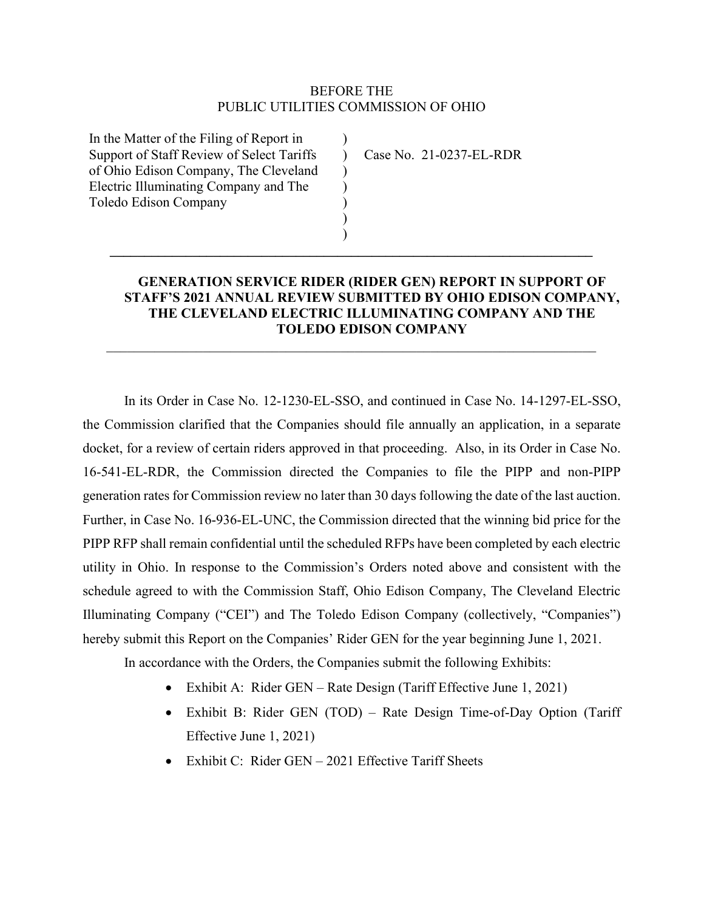# BEFORE THE PUBLIC UTILITIES COMMISSION OF OHIO

)  $\mathcal{L}$  $\mathcal{L}$ ) ) ) )

**\_\_\_\_\_\_\_\_\_\_\_\_\_\_\_\_\_\_\_\_\_\_\_\_\_\_\_\_\_\_\_\_\_\_\_\_\_\_\_\_\_\_\_\_\_\_\_\_\_\_\_\_\_\_\_\_\_\_\_\_\_\_\_\_\_\_\_\_\_\_**

 $\mathcal{L}_\text{max} = \mathcal{L}_\text{max} = \mathcal{L}_\text{max} = \mathcal{L}_\text{max} = \mathcal{L}_\text{max} = \mathcal{L}_\text{max} = \mathcal{L}_\text{max} = \mathcal{L}_\text{max} = \mathcal{L}_\text{max} = \mathcal{L}_\text{max} = \mathcal{L}_\text{max} = \mathcal{L}_\text{max} = \mathcal{L}_\text{max} = \mathcal{L}_\text{max} = \mathcal{L}_\text{max} = \mathcal{L}_\text{max} = \mathcal{L}_\text{max} = \mathcal{L}_\text{max} = \mathcal{$ 

In the Matter of the Filing of Report in Support of Staff Review of Select Tariffs of Ohio Edison Company, The Cleveland Electric Illuminating Company and The Toledo Edison Company

Case No. 21-0237-EL-RDR

# **GENERATION SERVICE RIDER (RIDER GEN) REPORT IN SUPPORT OF STAFF'S 2021 ANNUAL REVIEW SUBMITTED BY OHIO EDISON COMPANY, THE CLEVELAND ELECTRIC ILLUMINATING COMPANY AND THE TOLEDO EDISON COMPANY**

In its Order in Case No. 12-1230-EL-SSO, and continued in Case No. 14-1297-EL-SSO, the Commission clarified that the Companies should file annually an application, in a separate docket, for a review of certain riders approved in that proceeding. Also, in its Order in Case No. 16-541-EL-RDR, the Commission directed the Companies to file the PIPP and non-PIPP generation rates for Commission review no later than 30 days following the date of the last auction. Further, in Case No. 16-936-EL-UNC, the Commission directed that the winning bid price for the PIPP RFP shall remain confidential until the scheduled RFPs have been completed by each electric utility in Ohio. In response to the Commission's Orders noted above and consistent with the schedule agreed to with the Commission Staff, Ohio Edison Company, The Cleveland Electric Illuminating Company ("CEI") and The Toledo Edison Company (collectively, "Companies") hereby submit this Report on the Companies' Rider GEN for the year beginning June 1, 2021.

In accordance with the Orders, the Companies submit the following Exhibits:

- Exhibit A: Rider GEN Rate Design (Tariff Effective June 1, 2021)
- Exhibit B: Rider GEN (TOD) Rate Design Time-of-Day Option (Tariff Effective June 1, 2021)
- Exhibit C: Rider GEN 2021 Effective Tariff Sheets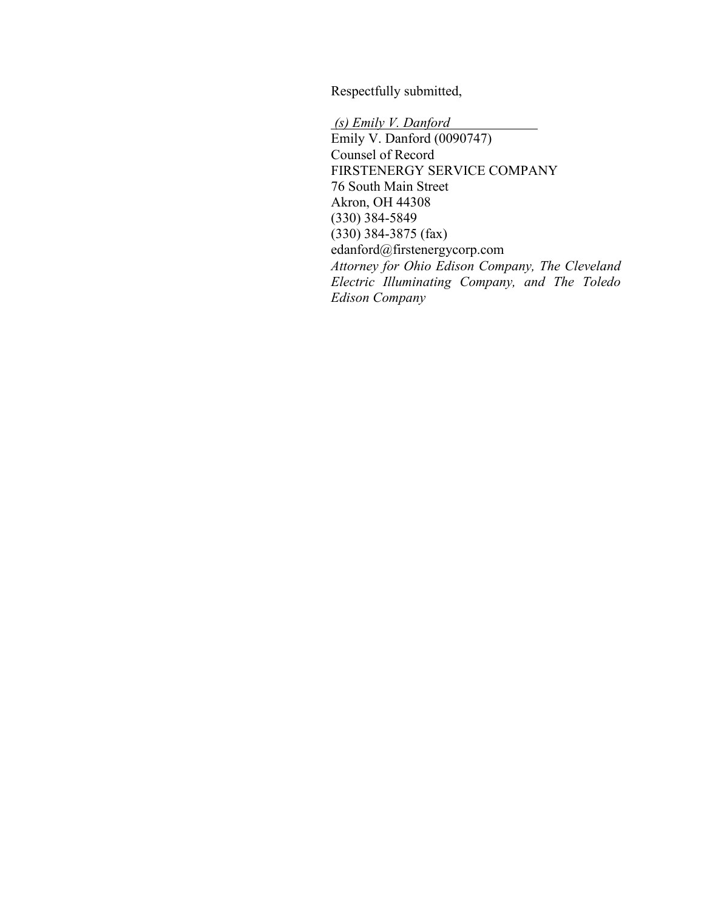Respectfully submitted,

*(s) Emily V. Danford* Emily V. Danford (0090747) Counsel of Record FIRSTENERGY SERVICE COMPANY 76 South Main Street Akron, OH 44308 (330) 384-5849 (330) 384-3875 (fax) edanford@firstenergycorp.com *Attorney for Ohio Edison Company, The Cleveland Electric Illuminating Company, and The Toledo Edison Company*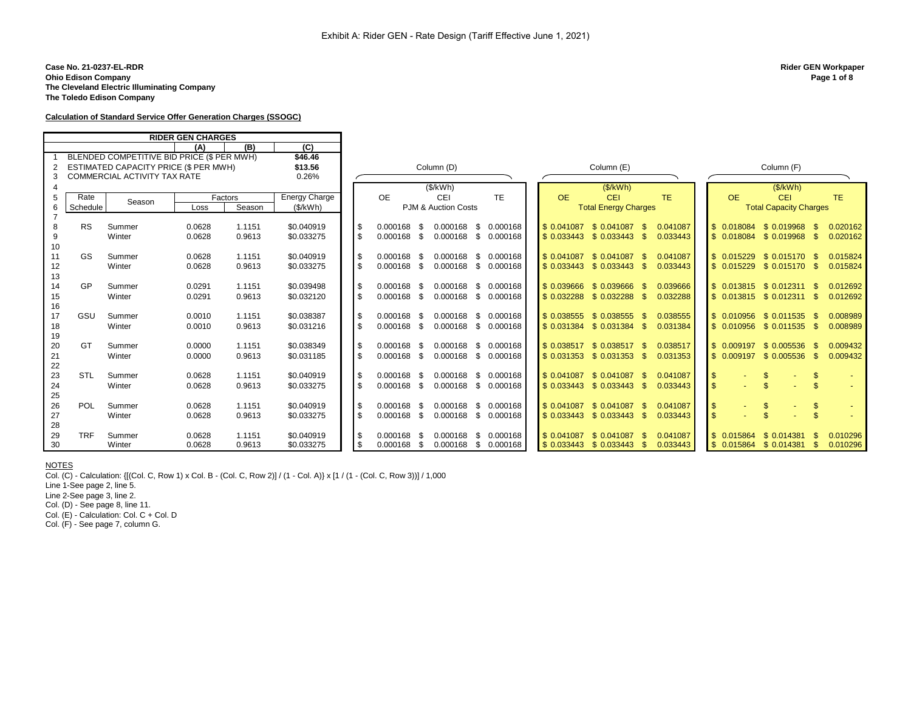#### **Case No. 21-0237-EL-RDR Rider GEN Workpaper Ohio Edison Company Page 1 of 8 The Cleveland Electric Illuminating Company The Toledo Edison Company**

**Calculation of Standard Service Offer Generation Charges (SSOGC)**

|    |            | <b>RIDER GEN CHARGES</b>                   |        |         |                      |              |               |      |                      |           |             |                                          |                          |                                    |                                    |                    |          |
|----|------------|--------------------------------------------|--------|---------|----------------------|--------------|---------------|------|----------------------|-----------|-------------|------------------------------------------|--------------------------|------------------------------------|------------------------------------|--------------------|----------|
|    |            |                                            | (A)    | (B)     | (C)                  |              |               |      |                      |           |             |                                          |                          |                                    |                                    |                    |          |
|    |            | BLENDED COMPETITIVE BID PRICE (\$ PER MWH) |        |         | \$46.46              |              |               |      |                      |           |             |                                          |                          |                                    |                                    |                    |          |
|    |            | ESTIMATED CAPACITY PRICE (\$ PER MWH)      |        |         | \$13.56              |              |               |      | Column (D)           |           |             | Column (E)                               |                          |                                    | Column (F)                         |                    |          |
|    |            | <b>COMMERCIAL ACTIVITY TAX RATE</b>        |        |         | 0.26%                |              |               |      |                      |           |             |                                          |                          |                                    |                                    |                    |          |
|    |            |                                            |        |         |                      |              |               |      | (\$/kWh)             |           |             | (S/KWh)                                  |                          |                                    | (S/KWh)                            |                    |          |
| 5  | Rate       | Season                                     |        | Factors | <b>Energy Charge</b> |              | <b>OE</b>     |      | CEI                  | <b>TF</b> | <b>OE</b>   | CEI                                      | <b>TE</b>                | <b>OE</b>                          | <b>CEI</b>                         |                    | TE.      |
|    | Schedule   |                                            | Loss   | Season  | (\$/KWh)             |              |               |      | PJM & Auction Costs  |           |             | <b>Total Energy Charges</b>              |                          |                                    | <b>Total Capacity Charges</b>      |                    |          |
|    |            |                                            |        |         |                      |              |               |      |                      |           |             |                                          |                          |                                    |                                    |                    |          |
| 8  | <b>RS</b>  | Summer                                     | 0.0628 | 1.1151  | \$0.040919           | $\sqrt{3}$   | 0.000168      | - \$ | 0.000168 \$ 0.000168 |           | \$ 0.041087 | \$ 0.041087                              | -\$<br>0.041087          | \$ 0.018084 \$ 0.019968            |                                    | <sup>\$</sup>      | 0.020162 |
| 9  |            | Winter                                     | 0.0628 | 0.9613  | \$0.033275           | $\mathbf{s}$ | $0.000168$ \$ |      | 0.000168 \$ 0.000168 |           |             | $\frac{1}{2}$ \$ 0.033443 \$ 0.033443 \$ | 0.033443                 |                                    | $\frac{1}{2}$ 0.018084 \$ 0.019968 | $^{\circ}$         | 0.020162 |
| 10 |            |                                            |        |         |                      |              |               |      |                      |           |             |                                          |                          |                                    |                                    |                    |          |
| 11 | GS         | Summer                                     | 0.0628 | 1.1151  | \$0.040919           | $\sqrt{3}$   | 0.000168      | - \$ | 0.000168 \$ 0.000168 |           |             | \$ 0.041087 \$ 0.041087                  | 0.041087<br>-\$          |                                    | \$ 0.015229 \$ 0.015170            | - \$               | 0.015824 |
| 12 |            | Winter                                     | 0.0628 | 0.9613  | \$0.033275           | \$           | $0.000168$ \$ |      | 0.000168 \$ 0.000168 |           |             | $\frac{1}{2}$ \$ 0.033443 \$ 0.033443 \$ | 0.033443                 |                                    | $$0.015229 \$0.015170 \$$          |                    | 0.015824 |
| 13 |            |                                            |        |         |                      |              |               |      |                      |           |             |                                          |                          |                                    |                                    |                    |          |
| 14 | GP         | Summer                                     | 0.0291 | 1.1151  | \$0.039498           | $\sqrt{3}$   | 0.000168      | - \$ | 0.000168 \$ 0.000168 |           |             | $$0.039666$ $$0.039666$                  | 0.039666<br>- \$         |                                    | $\frac{1}{3}$ 0.013815 \$ 0.012311 | - \$               | 0.012692 |
| 15 |            | Winter                                     | 0.0291 | 0.9613  | \$0.032120           | \$           | $0.000168$ \$ |      | 0.000168 \$ 0.000168 |           |             | $$0.032288$ $$0.032288$                  | $\mathbf{s}$<br>0.032288 |                                    | $$0.013815$ $$0.012311$ $$$        |                    | 0.012692 |
| 16 |            |                                            |        |         |                      |              |               |      |                      |           |             |                                          |                          |                                    |                                    |                    |          |
| 17 | GSU        | Summer                                     | 0.0010 | 1.1151  | \$0.038387           | <b>S</b>     | $0.000168$ \$ |      | 0.000168 \$ 0.000168 |           |             | $$0.038555$ $$0.038555$                  | 0.038555<br>- \$         | $\frac{1}{2}$ 0.010956 \$ 0.011535 |                                    | -SS                | 0.008989 |
| 18 |            | Winter                                     | 0.0010 | 0.9613  | \$0.031216           | \$           | 0.000168 \$   |      | 0.000168 \$ 0.000168 |           |             | $$0.031384 \quad $0.031384 \quad $$      | 0.031384                 |                                    | $\frac{1}{3}$ 0.010956 \$ 0.011535 | $^{\circ}$         | 0.008989 |
| 19 |            |                                            |        |         |                      |              |               |      |                      |           |             |                                          |                          |                                    |                                    |                    |          |
| 20 | GT         | Summer                                     | 0.0000 | 1.1151  | \$0.038349           | $\sqrt{3}$   | 0.000168 \$   |      | 0.000168 \$ 0.000168 |           |             | \$ 0.038517 \$ 0.038517                  | - \$<br>0.038517         | \$ 0.009197                        | \$ 0.005536                        | -\$                | 0.009432 |
| 21 |            | Winter                                     | 0.0000 | 0.9613  | \$0.031185           | \$           | 0.000168 \$   |      | 0.000168 \$ 0.000168 |           |             | $$0.031353 \quad $0.031353 \quad $$      | 0.031353                 | $\frac{1}{2}$ 0.009197 \$ 0.005536 |                                    | $\mathbf{s}$       | 0.009432 |
| 22 |            |                                            |        |         |                      |              |               |      |                      |           |             |                                          |                          |                                    |                                    |                    |          |
| 23 | <b>STL</b> | Summer                                     | 0.0628 | 1.1151  | \$0.040919           | \$           | 0.000168 \$   |      | 0.000168 \$ 0.000168 |           |             | \$ 0.041087 \$ 0.041087                  | -\$<br>0.041087          | $\sqrt{3}$                         | \$                                 | \$                 |          |
| 24 |            | Winter                                     | 0.0628 | 0.9613  | \$0.033275           | \$           | 0.000168 \$   |      | 0.000168 \$ 0.000168 |           |             | $$0.033443$ $$0.033443$ $$$              | 0.033443                 | $\mathbf{s}$                       | $\mathcal{L}$                      | $\mathbf{\hat{z}}$ |          |
| 25 |            |                                            |        |         |                      |              |               |      |                      |           |             |                                          |                          |                                    |                                    |                    |          |
| 26 | POL        | Summer                                     | 0.0628 | 1.1151  | \$0.040919           | $\sqrt{3}$   | 0.000168 \$   |      | 0.000168 \$ 0.000168 |           | \$ 0.041087 | \$ 0.041087                              | -\$<br>0.041087          | $\sqrt{3}$                         | $\mathfrak{S}$                     | \$                 |          |
| 27 |            | Winter                                     | 0.0628 | 0.9613  | \$0.033275           | \$           | $0.000168$ \$ |      | 0.000168 \$ 0.000168 |           |             | $$0.033443$ $$0.033443$ $$$              | 0.033443                 | $\mathbf{s}$                       | \$                                 | $\mathbf{s}$       |          |
| 28 |            |                                            |        |         |                      |              |               |      |                      |           |             |                                          |                          |                                    |                                    |                    |          |
| 29 | <b>TRF</b> | Summer                                     | 0.0628 | 1.1151  | \$0.040919           | \$           | $0.000168$ \$ |      | $0.000168$ \$        | 0.000168  |             | \$ 0.041087 \$ 0.041087                  | 0.041087<br>-S           | \$0.015864                         | \$ 0.014381                        | \$                 | 0.010296 |
| 30 |            | Winter                                     | 0.0628 | 0.9613  | \$0.033275           | $\sqrt{3}$   | $0.000168$ \$ |      | 0.000168 \$ 0.000168 |           |             | $\frac{1}{2}$ \$ 0.033443 \$ 0.033443    | 0.033443<br>- \$         | $$0.015864$ $$0.014381$            |                                    | -\$                | 0.010296 |

**NOTES** 

Г

Col. (C) - Calculation: {[(Col. C, Row 1) x Col. B - (Col. C, Row 2)] / (1 - Col. A)} x [1 / (1 - (Col. C, Row 3))] / 1,000

Line 1-See page 2, line 5.

Line 2-See page 3, line 2.

Col. (D) - See page 8, line 11.

Col. (E) - Calculation: Col. C + Col. D

Col. (F) - See page 7, column G.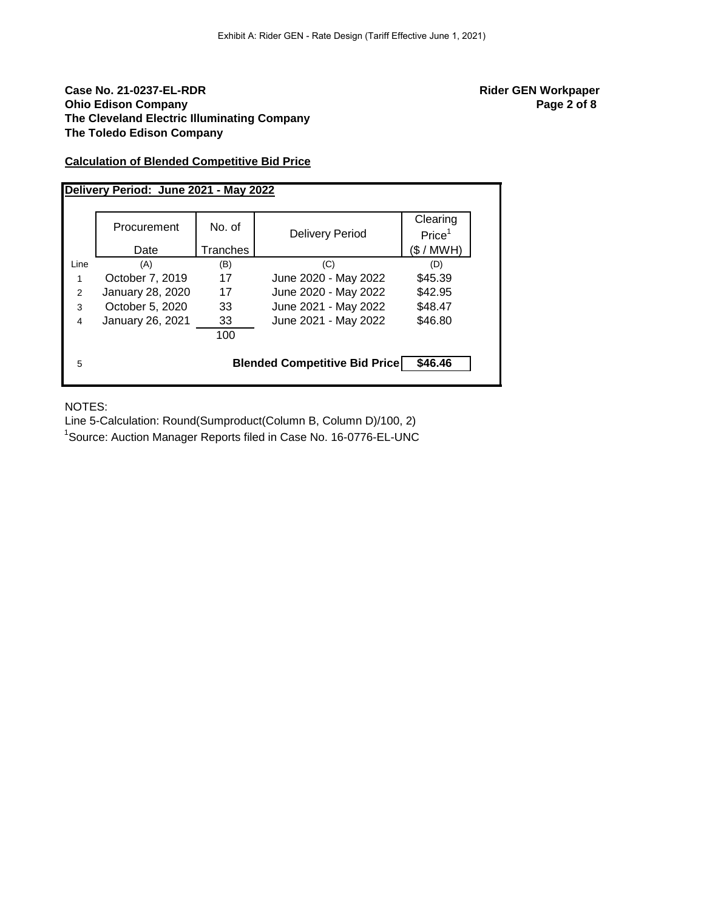# **Case No. 21-0237-EL-RDR Rider GEN Workpaper Ohio Edison Company Page 2 of 8 The Cleveland Electric Illuminating Company The Toledo Edison Company**

# **Calculation of Blended Competitive Bid Price**

|      | Delivery Period: June 2021 - May 2022 |          |                                      |                                |  |  |  |  |  |  |  |  |  |
|------|---------------------------------------|----------|--------------------------------------|--------------------------------|--|--|--|--|--|--|--|--|--|
|      | Procurement                           | No. of   | <b>Delivery Period</b>               | Clearing<br>Price <sup>1</sup> |  |  |  |  |  |  |  |  |  |
|      | Date                                  | Tranches |                                      | (\$/MWH)                       |  |  |  |  |  |  |  |  |  |
| Line | (A)                                   | (B)      | (C)                                  | (D)                            |  |  |  |  |  |  |  |  |  |
| 1    | October 7, 2019                       | 17       | June 2020 - May 2022                 | \$45.39                        |  |  |  |  |  |  |  |  |  |
| 2    | January 28, 2020                      | 17       | June 2020 - May 2022                 | \$42.95                        |  |  |  |  |  |  |  |  |  |
| 3    | October 5, 2020                       | 33       | June 2021 - May 2022                 | \$48.47                        |  |  |  |  |  |  |  |  |  |
| 4    | January 26, 2021                      | 33       | June 2021 - May 2022                 | \$46.80                        |  |  |  |  |  |  |  |  |  |
|      |                                       | 100      |                                      |                                |  |  |  |  |  |  |  |  |  |
| 5    |                                       |          | <b>Blended Competitive Bid Price</b> | \$46.46                        |  |  |  |  |  |  |  |  |  |

NOTES:

Line 5-Calculation: Round(Sumproduct(Column B, Column D)/100, 2)

<sup>1</sup>Source: Auction Manager Reports filed in Case No. 16-0776-EL-UNC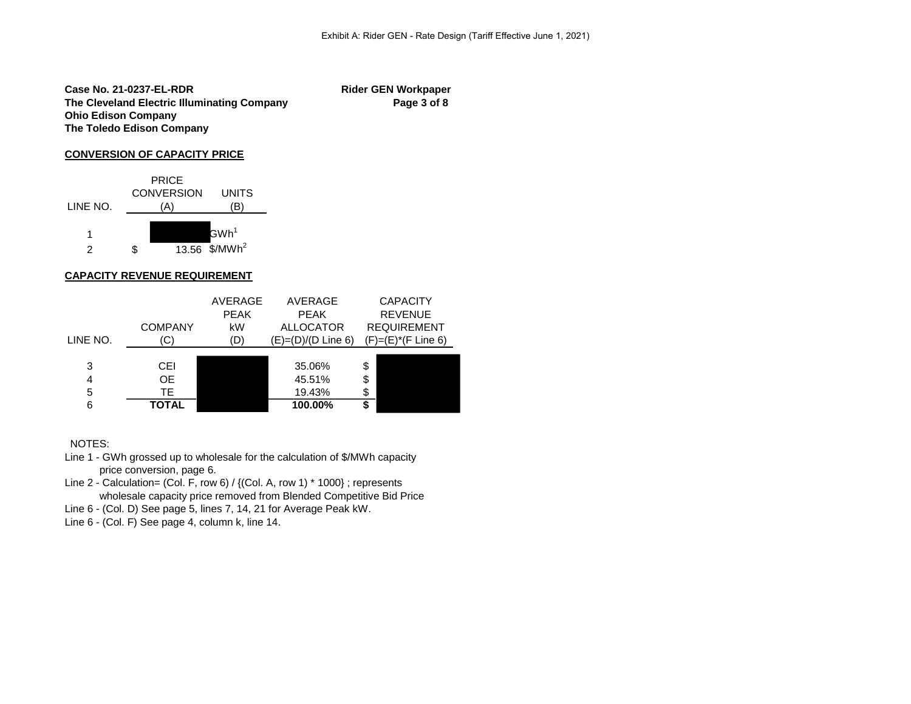**Case No. 21-0237-EL-RDR Rider GEN Workpaper** The Cleveland Electric Illuminating Company **Page 3 of 8 Ohio Edison Company The Toledo Edison Company**

## **CONVERSION OF CAPACITY PRICE**



## **CAPACITY REVENUE REQUIREMENT**

|                  | <b>COMPANY</b>                    | AVERAGE<br><b>PEAK</b><br>kW | AVERAGE<br><b>PEAK</b><br><b>ALLOCATOR</b> | <b>CAPACITY</b><br><b>REVENUE</b><br><b>REQUIREMENT</b> |
|------------------|-----------------------------------|------------------------------|--------------------------------------------|---------------------------------------------------------|
| LINE NO.         | (C)                               | (D)                          | $(E)= (D)/(D$ Line 6)                      | $(F)=(E)^*(F$ Line 6)                                   |
| 3<br>4<br>5<br>6 | CEL<br>OE.<br>TE.<br><b>TOTAL</b> |                              | 35.06%<br>45.51%<br>19.43%<br>100.00%      | \$<br>\$<br>\$<br>\$                                    |

## NOTES:

- Line 1 GWh grossed up to wholesale for the calculation of \$/MWh capacity price conversion, page 6.
- Line 2 Calculation= (Col. F, row 6) / {(Col. A, row 1) \* 1000} ; represents wholesale capacity price removed from Blended Competitive Bid Price
- Line 6 (Col. D) See page 5, lines 7, 14, 21 for Average Peak kW.
- Line 6 (Col. F) See page 4, column k, line 14.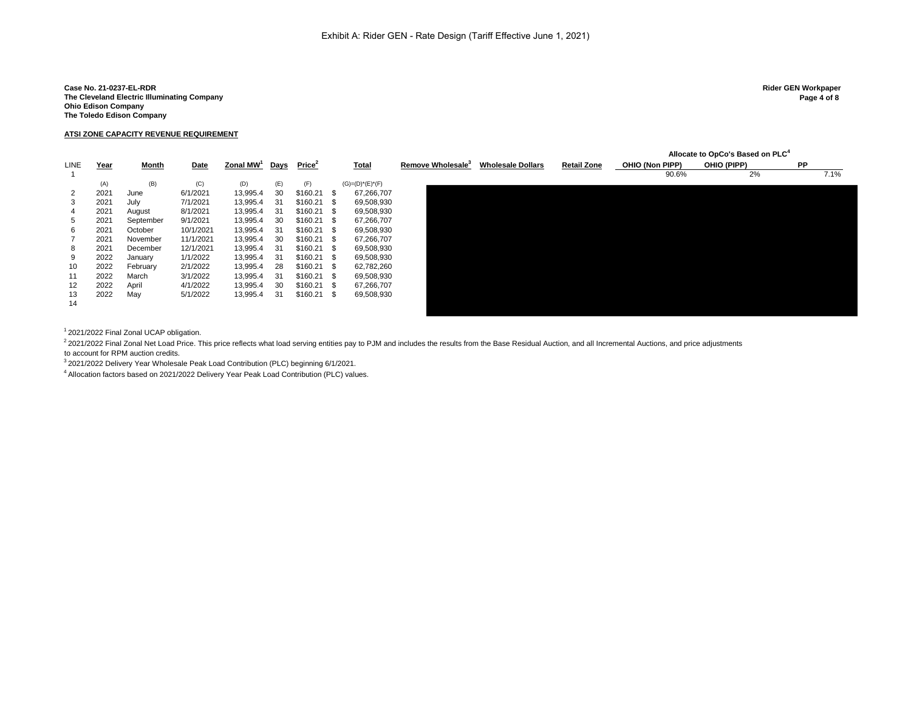Case No. 21-0237-EL-RDR<br>The Cleveland Electric Illuminating Company **Active State of Science 2 Rider GEN Workpaper**<br>Page 4 of 8 **The Cleveland Electric Illuminating Company Ohio Edison Company The Toledo Edison Company**

### **ATSI ZONE CAPACITY REVENUE REQUIREMENT**

|             |      |           |           |                       |      |                    |                       |            |                               |                          |                    |                 | Allocate to OpCo's Based on PLC <sup>4</sup> |           |      |
|-------------|------|-----------|-----------|-----------------------|------|--------------------|-----------------------|------------|-------------------------------|--------------------------|--------------------|-----------------|----------------------------------------------|-----------|------|
| <b>LINE</b> | Year | Month     | Date      | Zonal MW <sup>1</sup> | Days | Price <sup>2</sup> | <b>Total</b>          |            | Remove Wholesale <sup>3</sup> | <b>Wholesale Dollars</b> | <b>Retail Zone</b> | OHIO (Non PIPP) | OHIO (PIPP)                                  | <b>PP</b> |      |
|             |      |           |           |                       |      |                    |                       |            |                               |                          |                    | 90.6%           | 2%                                           |           | 7.1% |
|             | (A)  | (B)       | (C)       | (D)                   | (E)  | (F)                | $(G) = (D)^*(E)^*(F)$ |            |                               |                          |                    |                 |                                              |           |      |
| 2           | 2021 | June      | 6/1/2021  | 13,995.4              | 30   | \$160.21           | - \$                  | 67,266,707 |                               |                          |                    |                 |                                              |           |      |
| 3           | 2021 | July      | 7/1/2021  | 13,995.4              | 31   | \$160.21           | - \$                  | 69,508,930 |                               |                          |                    |                 |                                              |           |      |
| 4           | 2021 | August    | 8/1/2021  | 13,995.4              | 31   | \$160.21           | . ጽ                   | 69,508,930 |                               |                          |                    |                 |                                              |           |      |
| 5           | 2021 | September | 9/1/2021  | 13,995.4              | 30   | \$160.21           |                       | 67,266,707 |                               |                          |                    |                 |                                              |           |      |
| 6           | 2021 | October   | 10/1/2021 | 13,995.4              | 31   | \$160.21           | - \$                  | 69,508,930 |                               |                          |                    |                 |                                              |           |      |
|             | 2021 | November  | 11/1/2021 | 13,995.4              | 30   | \$160.21           | - \$                  | 67,266,707 |                               |                          |                    |                 |                                              |           |      |
| 8           | 2021 | December  | 12/1/2021 | 13,995.4              | 31   | \$160.21           | - \$                  | 69,508,930 |                               |                          |                    |                 |                                              |           |      |
| 9           | 2022 | January   | 1/1/2022  | 13,995.4              | 31   | \$160.21           | - \$                  | 69,508,930 |                               |                          |                    |                 |                                              |           |      |
| 10          | 2022 | February  | 2/1/2022  | 13,995.4              | 28   | \$160.21           | - SS                  | 62,782,260 |                               |                          |                    |                 |                                              |           |      |
| 11          | 2022 | March     | 3/1/2022  | 13,995.4              | 31   | \$160.21           |                       | 69,508,930 |                               |                          |                    |                 |                                              |           |      |
| 12          | 2022 | April     | 4/1/2022  | 13,995.4              | 30   | \$160.21           |                       | 67,266,707 |                               |                          |                    |                 |                                              |           |      |
| 13          | 2022 | May       | 5/1/2022  | 13,995.4              | 31   | \$160.21           | - \$                  | 69,508,930 |                               |                          |                    |                 |                                              |           |      |
| 14          |      |           |           |                       |      |                    |                       |            |                               |                          |                    |                 |                                              |           |      |
|             |      |           |           |                       |      |                    |                       |            |                               |                          |                    |                 |                                              |           |      |

<sup>1</sup>2021/2022 Final Zonal UCAP obligation.

<sup>2</sup> 2021/2022 Final Zonal Net Load Price. This price reflects what load serving entities pay to PJM and includes the results from the Base Residual Auction, and all Incremental Auctions, and price adjustments to account for RPM auction credits.

<sup>3</sup>2021/2022 Delivery Year Wholesale Peak Load Contribution (PLC) beginning 6/1/2021.

<sup>4</sup> Allocation factors based on 2021/2022 Delivery Year Peak Load Contribution (PLC) values.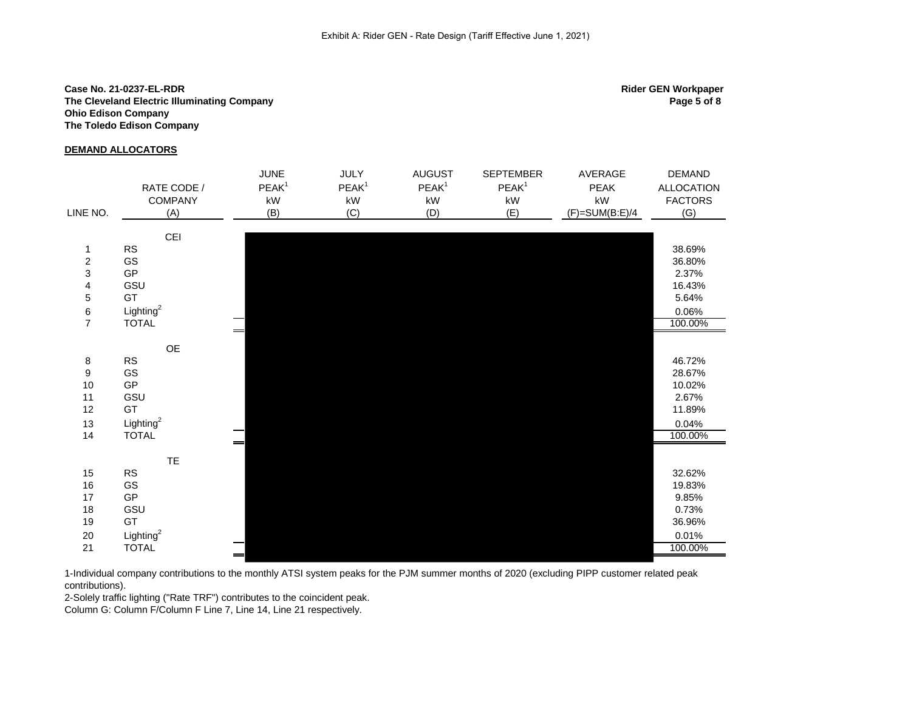## **Case No. 21-0237-EL-RDR Rider GEN Workpaper The Cleveland Electric Illuminating Company Ohio Edison Company The Toledo Edison Company**

### **DEMAND ALLOCATORS**

|                                       |                       | <b>JUNE</b>            | <b>JULY</b>            | <b>AUGUST</b>     | <b>SEPTEMBER</b>       | AVERAGE                | <b>DEMAND</b>     |
|---------------------------------------|-----------------------|------------------------|------------------------|-------------------|------------------------|------------------------|-------------------|
|                                       | RATE CODE /           | PEAK <sup>1</sup>      | PEAK <sup>1</sup>      | PEAK <sup>1</sup> | PEAK <sup>1</sup>      | PEAK                   | <b>ALLOCATION</b> |
|                                       | <b>COMPANY</b>        | $\mathsf{k}\mathsf{W}$ | $\mathsf{k}\mathsf{W}$ | kW                | $\mathsf{k}\mathsf{W}$ | $\mathsf{k}\mathsf{W}$ | <b>FACTORS</b>    |
| LINE NO.                              | (A)                   | (B)                    | (C)                    | (D)               | (E)                    | $(F)=SUM(B:E)/4$       | (G)               |
|                                       | CEI                   |                        |                        |                   |                        |                        |                   |
| $\mathbf{1}$                          | ${\sf RS}$            |                        |                        |                   |                        |                        | 38.69%            |
| $\overline{\mathbf{c}}$               | GS                    |                        |                        |                   |                        |                        | 36.80%            |
| 3                                     | GP                    |                        |                        |                   |                        |                        | 2.37%             |
| $\overline{\mathbf{4}}$               | GSU                   |                        |                        |                   |                        |                        | 16.43%            |
| 5                                     | GT                    |                        |                        |                   |                        |                        | 5.64%             |
|                                       | Lighting <sup>2</sup> |                        |                        |                   |                        |                        | 0.06%             |
| $\begin{array}{c} 6 \\ 7 \end{array}$ | <b>TOTAL</b>          |                        |                        |                   |                        |                        | 100.00%           |
|                                       |                       | $=$                    |                        |                   |                        |                        |                   |
|                                       | $\mathsf{OE}$         |                        |                        |                   |                        |                        |                   |
| $\bf 8$                               | <b>RS</b>             |                        |                        |                   |                        |                        | 46.72%            |
| $\boldsymbol{9}$                      | GS                    |                        |                        |                   |                        |                        | 28.67%            |
| 10                                    | $\mathsf{GP}$         |                        |                        |                   |                        |                        | 10.02%            |
| 11                                    | GSU                   |                        |                        |                   |                        |                        | 2.67%             |
| 12                                    | GT                    |                        |                        |                   |                        |                        | 11.89%            |
| 13                                    | Lighting $^2$         |                        |                        |                   |                        |                        | 0.04%             |
| 14                                    | <b>TOTAL</b>          | $=$                    |                        |                   |                        |                        | 100.00%           |
|                                       | <b>TE</b>             |                        |                        |                   |                        |                        |                   |
| 15                                    | RS                    |                        |                        |                   |                        |                        | 32.62%            |
| 16                                    | GS                    |                        |                        |                   |                        |                        | 19.83%            |
| 17                                    | <b>GP</b>             |                        |                        |                   |                        |                        | 9.85%             |
| 18                                    | GSU                   |                        |                        |                   |                        |                        | 0.73%             |
| 19                                    | GT                    |                        |                        |                   |                        |                        | 36.96%            |
| 20                                    | Lighting $^2$         |                        |                        |                   |                        |                        | 0.01%             |
| 21                                    | <b>TOTAL</b>          |                        |                        |                   |                        |                        | 100.00%           |

1-Individual company contributions to the monthly ATSI system peaks for the PJM summer months of 2020 (excluding PIPP customer related peak contributions).

2-Solely traffic lighting ("Rate TRF") contributes to the coincident peak.

Column G: Column F/Column F Line 7, Line 14, Line 21 respectively.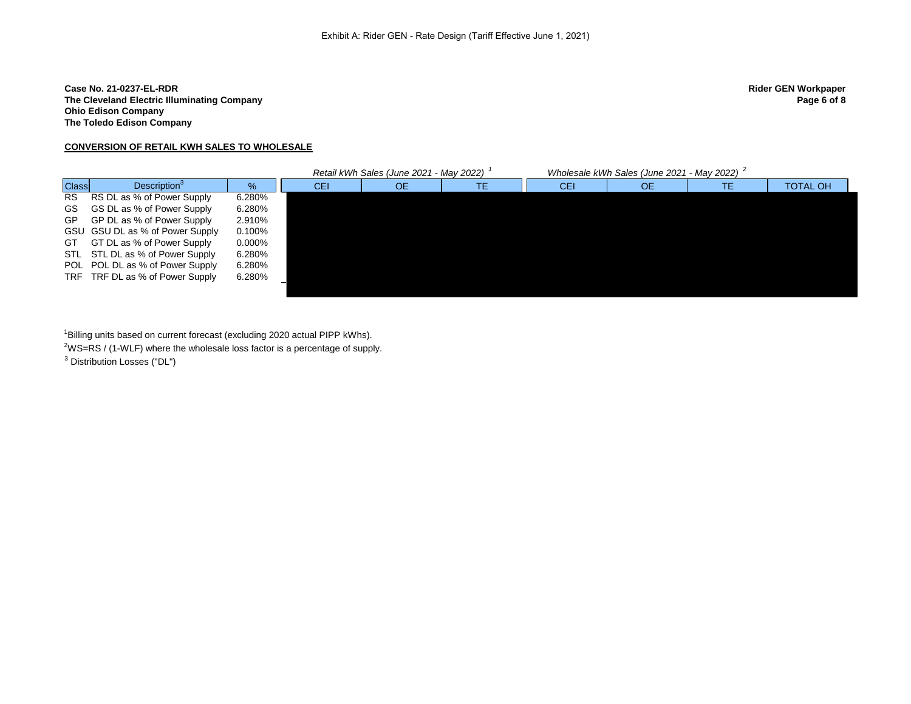## **Case No. 21-0237-EL-RDR Rider GEN Workpaper The Cleveland Electric Illuminating Company Ohio Edison Company The Toledo Edison Company**

## **CONVERSION OF RETAIL KWH SALES TO WHOLESALE**

|              |                                 |           |     | Retail kWh Sales (June 2021 - May 2022) | Wholesale kWh Sales (June 2021 - May 2022) |    |    |                 |
|--------------|---------------------------------|-----------|-----|-----------------------------------------|--------------------------------------------|----|----|-----------------|
| <b>Class</b> | Description <sup>3</sup>        | $\%$      | CEI | <b>OE</b>                               | CEI                                        | OE | TE | <b>TOTAL OH</b> |
| <b>RS</b>    | RS DL as % of Power Supply      | 6.280%    |     |                                         |                                            |    |    |                 |
| GS.          | GS DL as % of Power Supply      | 6.280%    |     |                                         |                                            |    |    |                 |
| <b>GP</b>    | GP DL as % of Power Supply      | 2.910%    |     |                                         |                                            |    |    |                 |
|              | GSU GSU DL as % of Power Supply | 0.100%    |     |                                         |                                            |    |    |                 |
| GT.          | GT DL as % of Power Supply      | $0.000\%$ |     |                                         |                                            |    |    |                 |
|              | STL STL DL as % of Power Supply | 6.280%    |     |                                         |                                            |    |    |                 |
|              | POL POL DL as % of Power Supply | 6.280%    |     |                                         |                                            |    |    |                 |
| TRF          | TRF DL as % of Power Supply     | 6.280%    |     |                                         |                                            |    |    |                 |
|              |                                 |           |     |                                         |                                            |    |    |                 |

<sup>1</sup>Billing units based on current forecast (excluding 2020 actual PIPP kWhs).

<sup>2</sup>WS=RS / (1-WLF) where the wholesale loss factor is a percentage of supply.

<sup>3</sup> Distribution Losses ("DL")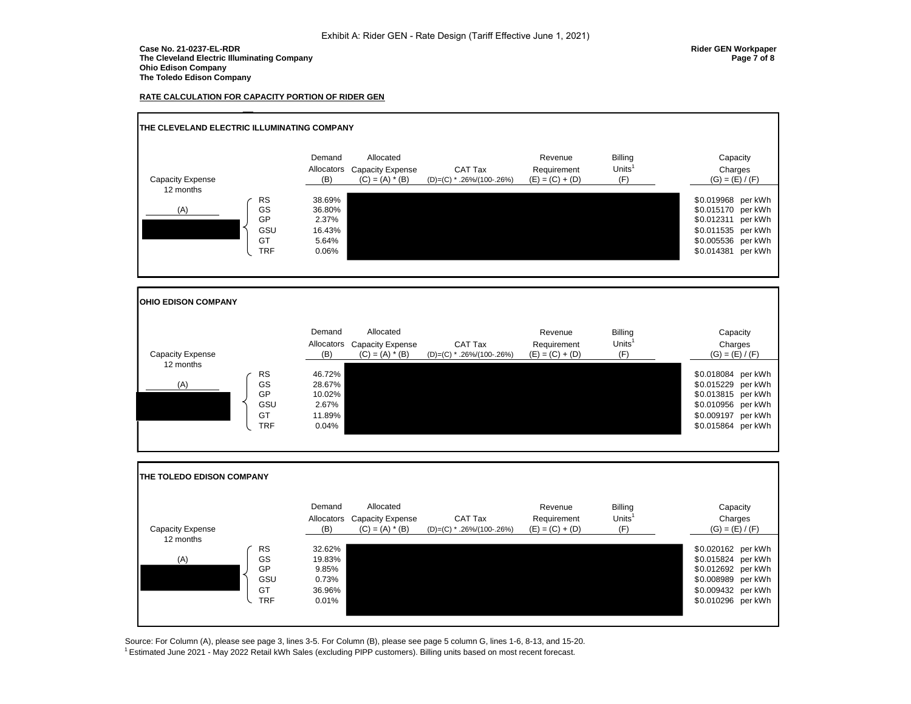#### **Case No. 21-0237-EL-RDR Rider GEN Workpaper The Cleveland Electric Illuminating Company Page 7 of 8 Ohio Edison Company The Toledo Edison Company**

#### **RATE CALCULATION FOR CAPACITY PORTION OF RIDER GEN**



Source: For Column (A), please see page 3, lines 3-5. For Column (B), please see page 5 column G, lines 1-6, 8-13, and 15-20. <sup>1</sup> Estimated June 2021 - May 2022 Retail kWh Sales (excluding PIPP customers). Billing units based on most recent forecast.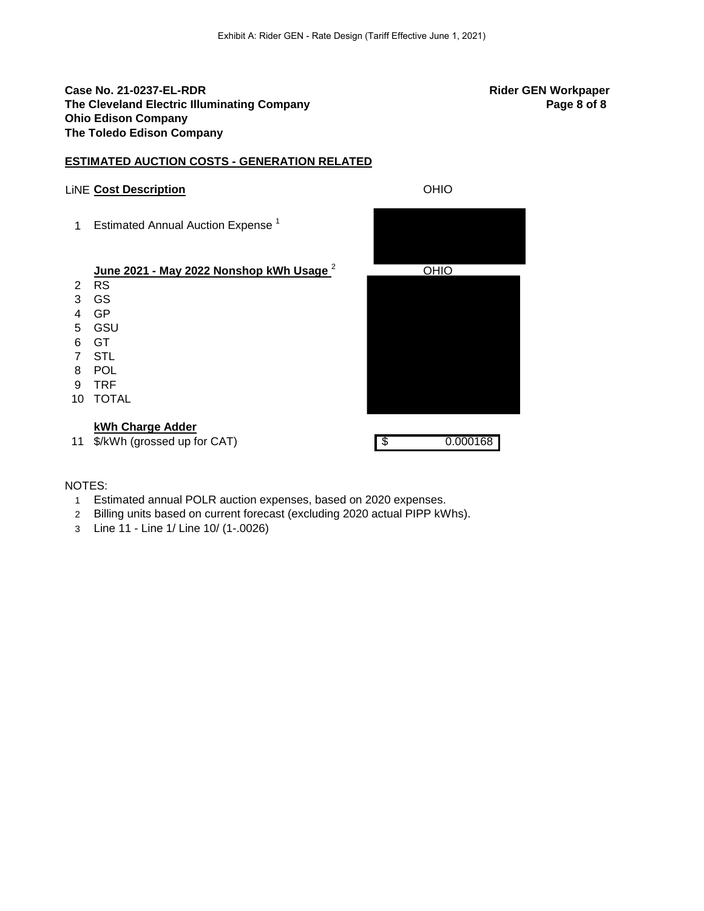# **Case No. 21-0237-EL-RDR Rider GEN Workpaper The Cleveland Electric Illuminating Company <b>Page 8 of 8 Page 8 of 8 Page 8 of 8 Ohio Edison Company The Toledo Edison Company**

# **ESTIMATED AUCTION COSTS - GENERATION RELATED**

# LiNE **Cost Description** OHIO

1 Estimated Annual Auction Expense<sup>1</sup>

# **June 2021 - May 2022 Nonshop kWh Usage**<sup>2</sup>

- 2 RS
- 3 GS
- 4 GP
- 5 GSU
- 6 GT
- 7 STL 8 POL
- 
- 9 TRF 10 TOTAL

# **kWh Charge Adder**

11 \$/kWh (grossed up for CAT) 6 6 6 6 7 6 7 7 8 7 7 8 7 7 7 8 7 7 8 7 7 8 7 7 8 7 8 7 7 8 7 8 7 7 8 7 8 7 7 8 7 8 7 7 8 7 8 7 7 8 7 7 8 7 7 8 7 7 8 7 7 8 7 7 8 7 7 8 7 7 8 7 7 8 7 7 8 7 7 8 7 7 8 7 7 8 7 7 8 7 7 8 7 7 8 7

| OHIO |  |
|------|--|
|      |  |
|      |  |
|      |  |
|      |  |
|      |  |
|      |  |
|      |  |
|      |  |
|      |  |
|      |  |
|      |  |
|      |  |
|      |  |
|      |  |

# NOTES:

- 1 Estimated annual POLR auction expenses, based on 2020 expenses.
- 2 Billing units based on current forecast (excluding 2020 actual PIPP kWhs).
- 3 Line 11 Line 1/ Line 10/ (1-.0026)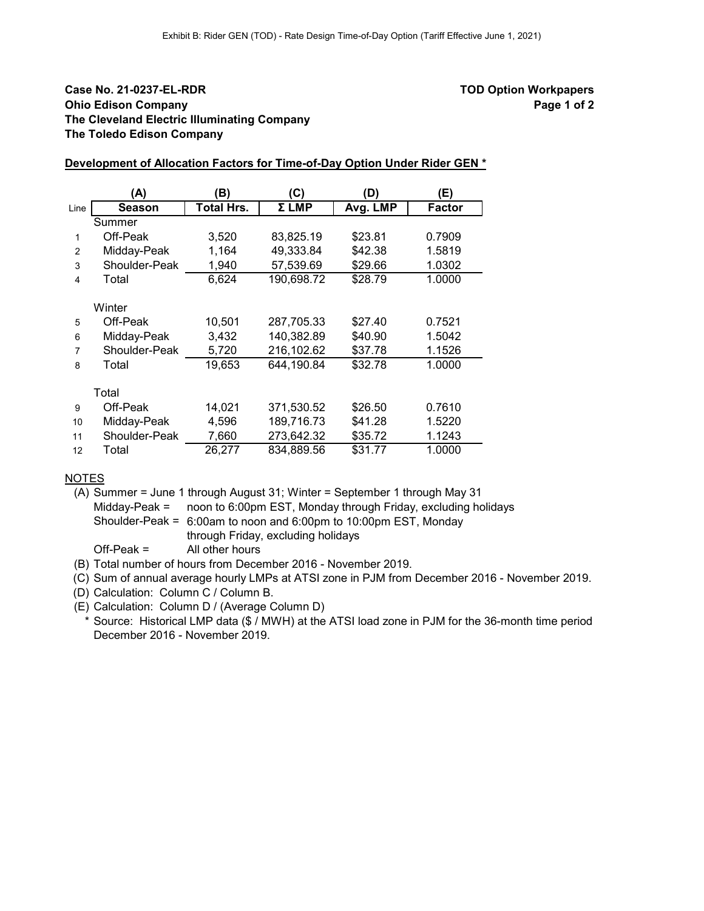# **Case No. 21-0237-EL-RDR TOD Option Workpapers Ohio Edison Company Page 1 of 2 Page 1 of 2 The Cleveland Electric Illuminating Company The Toledo Edison Company**

## **Development of Allocation Factors for Time-of-Day Option Under Rider GEN \***

|      | (A)           | B)                | (C)        | (D)      | (E)           |
|------|---------------|-------------------|------------|----------|---------------|
| Line | <b>Season</b> | <b>Total Hrs.</b> | Σ LMP      | Avg. LMP | <b>Factor</b> |
|      | Summer        |                   |            |          |               |
| 1    | Off-Peak      | 3,520             | 83,825.19  | \$23.81  | 0.7909        |
| 2    | Midday-Peak   | 1,164             | 49,333.84  | \$42.38  | 1.5819        |
| 3    | Shoulder-Peak | 1,940             | 57,539.69  | \$29.66  | 1.0302        |
| 4    | Total         | 6,624             | 190,698.72 | \$28.79  | 1.0000        |
|      |               |                   |            |          |               |
|      | Winter        |                   |            |          |               |
| 5    | Off-Peak      | 10,501            | 287,705.33 | \$27.40  | 0.7521        |
| 6    | Midday-Peak   | 3,432             | 140,382.89 | \$40.90  | 1.5042        |
| 7    | Shoulder-Peak | 5,720             | 216,102.62 | \$37.78  | 1.1526        |
| 8    | Total         | 19,653            | 644,190.84 | \$32.78  | 1.0000        |
|      |               |                   |            |          |               |
|      | Total         |                   |            |          |               |
| 9    | Off-Peak      | 14,021            | 371,530.52 | \$26.50  | 0.7610        |
| 10   | Midday-Peak   | 4,596             | 189,716.73 | \$41.28  | 1.5220        |
| 11   | Shoulder-Peak | 7,660             | 273,642.32 | \$35.72  | 1.1243        |
| 12   | Total         | 26,277            | 834,889.56 | \$31.77  | 1.0000        |

# **NOTES**

(A) Summer = June 1 through August 31; Winter = September 1 through May 31 Midday-Peak = noon to 6:00pm EST, Monday through Friday, excluding holidays Shoulder-Peak = 6:00am to noon and 6:00pm to 10:00pm EST, Monday through Friday, excluding holidays

Off-Peak = All other hours

(B) Total number of hours from December 2016 - November 2019.

(C) Sum of annual average hourly LMPs at ATSI zone in PJM from December 2016 - November 2019.

(D) Calculation: Column C / Column B.

(E) Calculation: Column D / (Average Column D)

\* Source: Historical LMP data (\$ / MWH) at the ATSI load zone in PJM for the 36-month time period December 2016 - November 2019.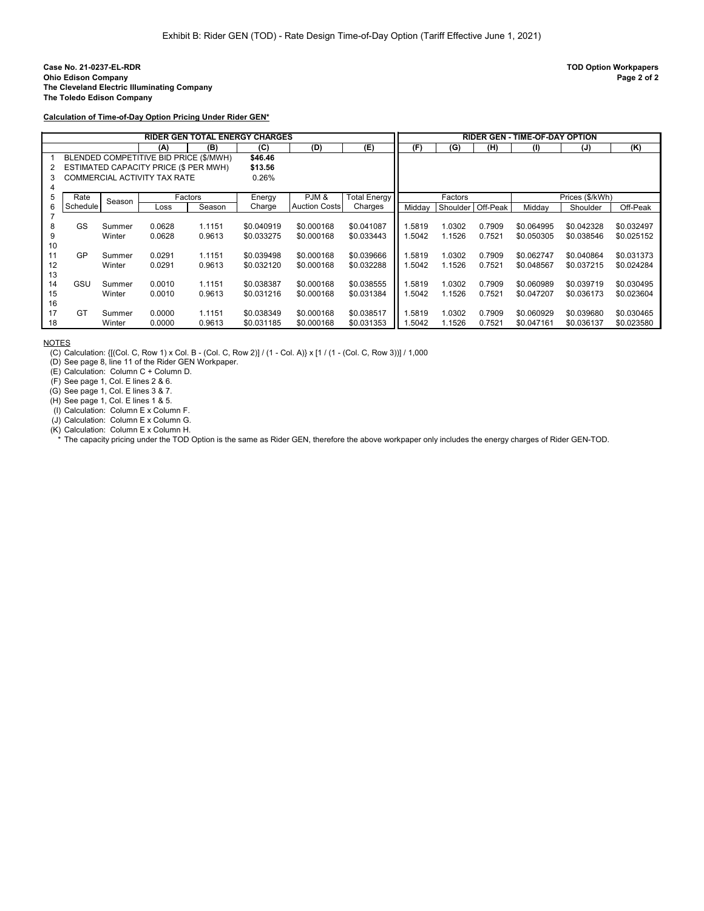**Calculation of Time-of-Day Option Pricing Under Rider GEN\***

|    |          |        |                                        |         | RIDER GEN TOTAL ENERGY CHARGES |                      |              |        |          |          | <b>RIDER GEN - TIME-OF-DAY OPTION</b> |                 |            |
|----|----------|--------|----------------------------------------|---------|--------------------------------|----------------------|--------------|--------|----------|----------|---------------------------------------|-----------------|------------|
|    |          |        | (A)                                    | (B)     | (C)                            | (D)                  | (E)          | (F)    | (G)      | (H)      | (1)                                   | (J)             | (K)        |
|    |          |        | BLENDED COMPETITIVE BID PRICE (\$/MWH) |         | \$46.46                        |                      |              |        |          |          |                                       |                 |            |
| 2  |          |        | ESTIMATED CAPACITY PRICE (\$ PER MWH)  |         | \$13.56                        |                      |              |        |          |          |                                       |                 |            |
| 3  |          |        | COMMERCIAL ACTIVITY TAX RATE           |         | 0.26%                          |                      |              |        |          |          |                                       |                 |            |
|    |          |        |                                        |         |                                |                      |              |        |          |          |                                       |                 |            |
| 5  | Rate     | Season |                                        | Factors | Energy                         | PJM&                 | Total Energy |        | Factors  |          |                                       | Prices (\$/kWh) |            |
| 6  | Schedule |        | Loss                                   | Season  | Charge                         | <b>Auction Costs</b> | Charges      | Midday | Shoulder | Off-Peak | Midday                                | Shoulder        | Off-Peak   |
|    |          |        |                                        |         |                                |                      |              |        |          |          |                                       |                 |            |
| 8  | GS       | Summer | 0.0628                                 | 1.1151  | \$0.040919                     | \$0.000168           | \$0.041087   | 1.5819 | 1.0302   | 0.7909   | \$0.064995                            | \$0.042328      | \$0.032497 |
| 9  |          | Winter | 0.0628                                 | 0.9613  | \$0.033275                     | \$0.000168           | \$0.033443   | 1.5042 | 1.1526   | 0.7521   | \$0.050305                            | \$0.038546      | \$0.025152 |
| 10 |          |        |                                        |         |                                |                      |              |        |          |          |                                       |                 |            |
| 11 | GP       | Summer | 0.0291                                 | 1.1151  | \$0.039498                     | \$0.000168           | \$0.039666   | 1.5819 | 1.0302   | 0.7909   | \$0.062747                            | \$0.040864      | \$0.031373 |
| 12 |          | Winter | 0.0291                                 | 0.9613  | \$0.032120                     | \$0.000168           | \$0.032288   | 1.5042 | 1.1526   | 0.7521   | \$0.048567                            | \$0.037215      | \$0.024284 |
| 13 |          |        |                                        |         |                                |                      |              |        |          |          |                                       |                 |            |
| 14 | GSU      | Summer | 0.0010                                 | 1.1151  | \$0.038387                     | \$0.000168           | \$0.038555   | 1.5819 | 1.0302   | 0.7909   | \$0.060989                            | \$0.039719      | \$0.030495 |
| 15 |          | Winter | 0.0010                                 | 0.9613  | \$0.031216                     | \$0.000168           | \$0.031384   | 1.5042 | 1.1526   | 0.7521   | \$0.047207                            | \$0.036173      | \$0.023604 |
| 16 |          |        |                                        |         |                                |                      |              |        |          |          |                                       |                 |            |
| 17 | GT       | Summer | 0.0000                                 | 1.1151  | \$0.038349                     | \$0.000168           | \$0.038517   | 1.5819 | 1.0302   | 0.7909   | \$0.060929                            | \$0.039680      | \$0.030465 |
| 18 |          | Winter | 0.0000                                 | 0.9613  | \$0.031185                     | \$0.000168           | \$0.031353   | 1.5042 | 1.1526   | 0.7521   | \$0.047161                            | \$0.036137      | \$0.023580 |

NOTES

(C) Calculation: {[(Col. C, Row 1) x Col. B - (Col. C, Row 2)] / (1 - Col. A)} x [1 / (1 - (Col. C, Row 3))] / 1,000

(D) See page 8, line 11 of the Rider GEN Workpaper.

(E) Calculation: Column C + Column D.

(F) See page 1, Col. E lines 2 & 6.

(G) See page 1, Col. E lines 3 & 7.

(H) See page 1, Col. E lines 1 & 5.

 $(1)$  Calculation: Column E x Column F.

(J) Calculation: Column E x Column G. (K) Calculation: Column E x Column H.

\* The capacity pricing under the TOD Option is the same as Rider GEN, therefore the above workpaper only includes the energy charges of Rider GEN-TOD.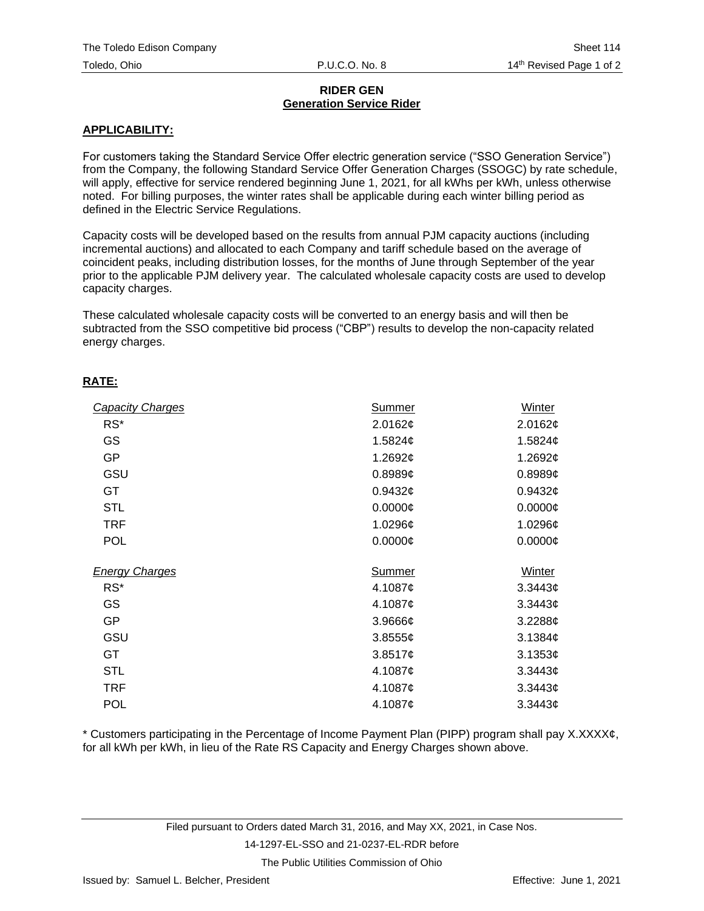# **RIDER GEN Generation Service Rider**

# **APPLICABILITY:**

For customers taking the Standard Service Offer electric generation service ("SSO Generation Service") from the Company, the following Standard Service Offer Generation Charges (SSOGC) by rate schedule, will apply, effective for service rendered beginning June 1, 2021, for all kWhs per kWh, unless otherwise noted. For billing purposes, the winter rates shall be applicable during each winter billing period as defined in the Electric Service Regulations.

Capacity costs will be developed based on the results from annual PJM capacity auctions (including incremental auctions) and allocated to each Company and tariff schedule based on the average of coincident peaks, including distribution losses, for the months of June through September of the year prior to the applicable PJM delivery year. The calculated wholesale capacity costs are used to develop capacity charges.

These calculated wholesale capacity costs will be converted to an energy basis and will then be subtracted from the SSO competitive bid process ("CBP") results to develop the non-capacity related energy charges.

# **RATE:**

| <b>Capacity Charges</b> | <b>Summer</b> | Winter               |
|-------------------------|---------------|----------------------|
| $RS^*$                  | 2.0162¢       | 2.0162¢              |
| GS                      | 1.5824¢       | 1.5824 $\mathfrak e$ |
| <b>GP</b>               | 1.2692¢       | 1.2692¢              |
| GSU                     | $0.8989$ ¢    | $0.8989$ ¢           |
| <b>GT</b>               | 0.9432c       | 0.9432c              |
| <b>STL</b>              | $0.0000$ ¢    | 0.0000C              |
| <b>TRF</b>              | 1.0296¢       | 1.0296¢              |
| <b>POL</b>              | $0.0000$ ¢    | $0.0000\phi$         |
| <b>Energy Charges</b>   | <b>Summer</b> | Winter               |
| $RS^*$                  | 4.1087¢       | 3.3443¢              |
| GS                      | 4.1087¢       | 3.3443¢              |
| <b>GP</b>               | $3.9666$ ¢    | $3.2288$ ¢           |
| GSU                     | 3.85556       | 3.1384¢              |
| GT                      | 3.8517¢       | 3.1353¢              |
| <b>STL</b>              | 4.1087¢       | 3.3443¢              |
| <b>TRF</b>              | 4.1087¢       | 3.3443 <sub>¢</sub>  |
| <b>POL</b>              | 4.1087¢       | 3.3443 <sub>¢</sub>  |

\* Customers participating in the Percentage of Income Payment Plan (PIPP) program shall pay X.XXXX¢, for all kWh per kWh, in lieu of the Rate RS Capacity and Energy Charges shown above.

## 14-1297-EL-SSO and 21-0237-EL-RDR before

The Public Utilities Commission of Ohio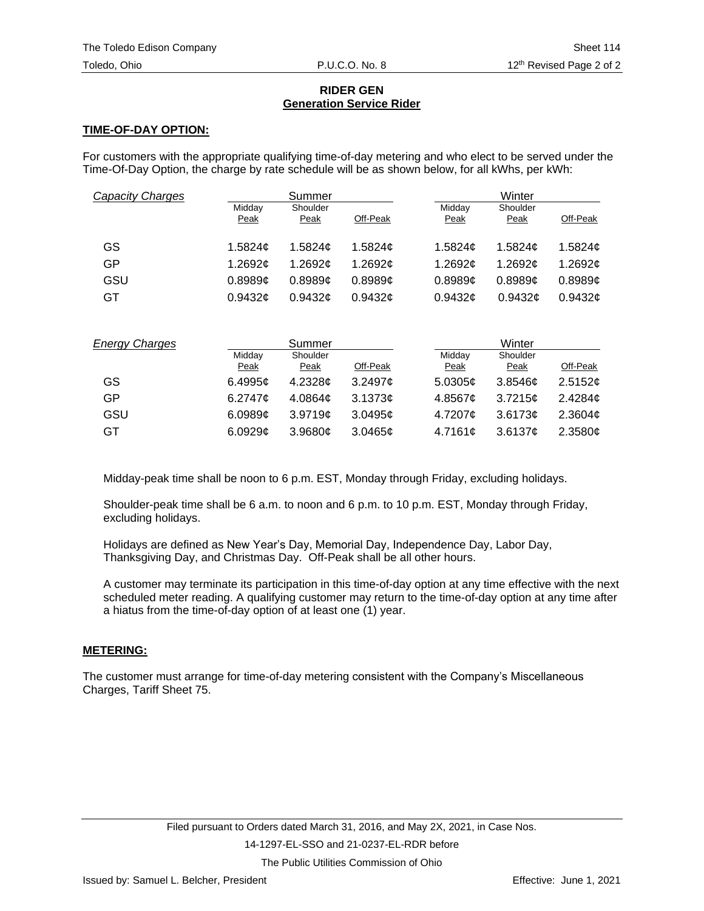# **RIDER GEN Generation Service Rider**

# **TIME-OF-DAY OPTION:**

For customers with the appropriate qualifying time-of-day metering and who elect to be served under the Time-Of-Day Option, the charge by rate schedule will be as shown below, for all kWhs, per kWh:

| Capacity Charges |                | Summer           |          | Winter         |                  |               |  |  |  |
|------------------|----------------|------------------|----------|----------------|------------------|---------------|--|--|--|
|                  | Midday<br>Peak | Shoulder<br>Peak | Off-Peak | Midday<br>Peak | Shoulder<br>Peak | Off-Peak      |  |  |  |
| GS               | 1.5824c        | 1.5824c          | 1.5824c  | 1.5824c        | 1.5824c          | 1.5824c       |  |  |  |
| GP               | 1.2692¢        | 1.2692c          | 1.2692c  | 1.2692c        | 1.2692¢          | 1.2692 $\phi$ |  |  |  |
| GSU              | 0.8989c        | 0.8989c          | 0.8989c  | 0.8989c        | 0.8989c          | 0.8989c       |  |  |  |
| GT               | 0.9432c        | 0.9432c          | 0.9432c  | 0.9432c        | 0.9432c          | 0.9432c       |  |  |  |

| <b>Energy Charges</b> |                 | Summer      |          |         | Winter   |          |  |  |  |
|-----------------------|-----------------|-------------|----------|---------|----------|----------|--|--|--|
|                       | Midday          | Shoulder    |          | Midday  | Shoulder |          |  |  |  |
|                       | <b>Peak</b>     | <b>Peak</b> | Off-Peak | Peak    | Peak     | Off-Peak |  |  |  |
| GS                    | 6.4995 $\sigma$ | 4.2328c     | 3.2497c  | 5.0305c | 3.8546c  | 2.5152c  |  |  |  |
| GP                    | 6.2747 $\sigma$ | 4.0864c     | 3.1373c  | 4.8567c | 3.7215c  | 2.4284c  |  |  |  |
| GSU                   | 6.0989c         | 3.9719c     | 3.0495c  | 4.7207¢ | 3.6173c  | 2.3604c  |  |  |  |
| GT                    | 6.0929c         | 3.9680c     | 3.0465c  | 4.7161c | 3.6137c  | 2.3580c  |  |  |  |

Midday-peak time shall be noon to 6 p.m. EST, Monday through Friday, excluding holidays.

Shoulder-peak time shall be 6 a.m. to noon and 6 p.m. to 10 p.m. EST, Monday through Friday, excluding holidays.

Holidays are defined as New Year's Day, Memorial Day, Independence Day, Labor Day, Thanksgiving Day, and Christmas Day. Off-Peak shall be all other hours.

A customer may terminate its participation in this time-of-day option at any time effective with the next scheduled meter reading. A qualifying customer may return to the time-of-day option at any time after a hiatus from the time-of-day option of at least one (1) year.

# **METERING:**

The customer must arrange for time-of-day metering consistent with the Company's Miscellaneous Charges, Tariff Sheet 75.

The Public Utilities Commission of Ohio